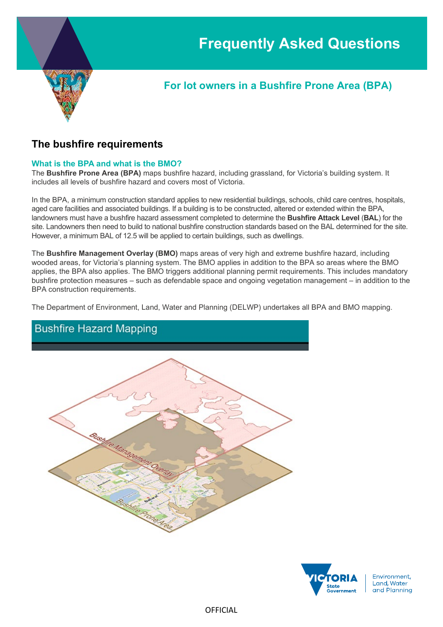

# **For lot owners in a Bushfire Prone Area (BPA)**

# **The bushfire requirements**

# **What is the BPA and what is the BMO?**

The **Bushfire Prone Area (BPA)** maps bushfire hazard, including grassland, for Victoria's building system. It includes all levels of bushfire hazard and covers most of Victoria.

In the BPA, a minimum construction standard applies to new residential buildings, schools, child care centres, hospitals, aged care facilities and associated buildings. If a building is to be constructed, altered or extended within the BPA, landowners must have a bushfire hazard assessment completed to determine the **Bushfire Attack Level** (**BAL**) for the site. Landowners then need to build to national bushfire construction standards based on the BAL determined for the site. However, a minimum BAL of 12.5 will be applied to certain buildings, such as dwellings.

The **Bushfire Management Overlay (BMO)** maps areas of very high and extreme bushfire hazard, including wooded areas, for Victoria's planning system. The BMO applies in addition to the BPA so areas where the BMO applies, the BPA also applies. The BMO triggers additional planning permit requirements. This includes mandatory bushfire protection measures – such as defendable space and ongoing vegetation management – in addition to the BPA construction requirements.

The Department of Environment, Land, Water and Planning (DELWP) undertakes all BPA and BMO mapping.



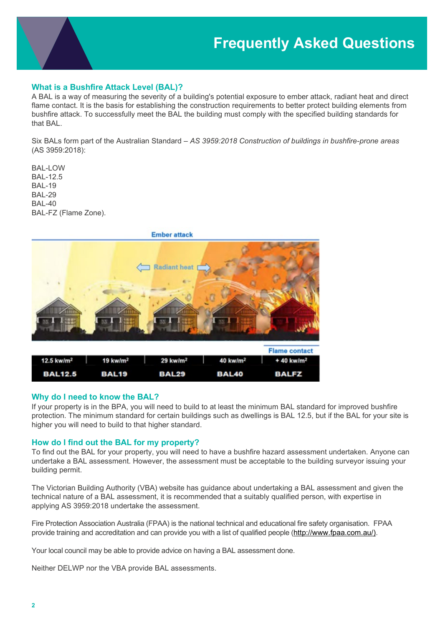

## **What is a Bushfire Attack Level (BAL)?**

A BAL is a way of measuring the severity of a building's potential exposure to ember attack, radiant heat and direct flame contact. It is the basis for establishing the construction requirements to better protect building elements from bushfire attack. To successfully meet the BAL the building must comply with the specified building standards for that BAL.

Six BALs form part of the Australian Standard – *AS 3959:2018 Construction of buildings in bushfire-prone areas* (AS 3959:2018):

BAL-LOW BAL-12.5 BAL-19 BAL-29 BAL-40 BAL-FZ (Flame Zone).



### **Why do I need to know the BAL?**

If your property is in the BPA, you will need to build to at least the minimum BAL standard for improved bushfire protection. The minimum standard for certain buildings such as dwellings is BAL 12.5, but if the BAL for your site is higher you will need to build to that higher standard.

### **How do I find out the BAL for my property?**

To find out the BAL for your property, you will need to have a bushfire hazard assessment undertaken. Anyone can undertake a BAL assessment. However, the assessment must be acceptable to the building surveyor issuing your building permit.

The [Victorian Building Authority](https://www.vba.vic.gov.au/consumers/bushfire-protection) (VBA) website has guidance about undertaking a BAL assessment and given the technical nature of a BAL assessment, it is recommended that a suitably qualified person, with expertise in applying AS 3959:2018 undertake the assessment.

Fire Protection Association Australia (FPAA) is the national technical and educational fire safety organisation. FPAA provide training and accreditation and can provide you with a list of qualified people [\(http://www.fpaa.com.au/\)](http://www.fpaa.com.au/).

Your local council may be able to provide advice on having a BAL assessment done.

Neither DELWP nor the VBA provide BAL assessments.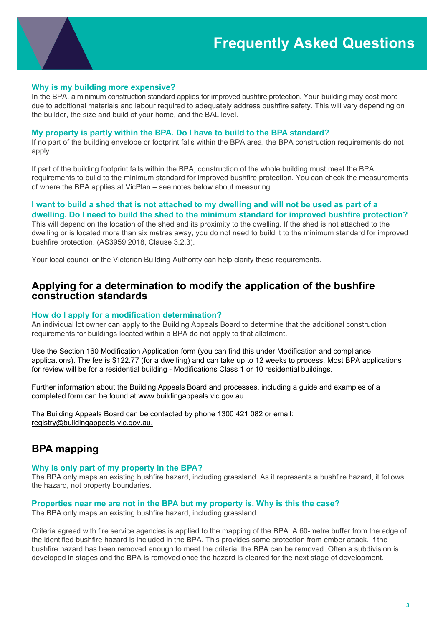

In the BPA, a minimum construction standard applies for improved bushfire protection. Your building may cost more due to additional materials and labour required to adequately address bushfire safety. This will vary depending on the builder, the size and build of your home, and the BAL level.

#### **My property is partly within the BPA. Do I have to build to the BPA standard?**

If no part of the building envelope or footprint falls within the BPA area, the BPA construction requirements do not apply.

If part of the building footprint falls within the BPA, construction of the whole building must meet the BPA requirements to build to the minimum standard for improved bushfire protection. You can check the measurements of where the BPA applies at VicPlan – see notes below about measuring.

## **I want to build a shed that is not attached to my dwelling and will not be used as part of a dwelling. Do I need to build the shed to the minimum standard for improved bushfire protection?**

This will depend on the location of the shed and its proximity to the dwelling. If the shed is not attached to the dwelling or is located more than six metres away, you do not need to build it to the minimum standard for improved bushfire protection. (AS3959:2018, Clause 3.2.3).

Your local council or the Victorian Building Authority can help clarify these requirements.

# **Applying for a determination to modify the application of the bushfire construction standards**

### **How do I apply for a modification determination?**

An individual lot owner can apply to the Building Appeals Board to determine that the additional construction requirements for buildings located within a BPA do not apply to that allotment.

Use the [Section 160 Modification Application form](http://www.buildingappeals.vic.gov.au/__data/assets/pdf_file/0007/47284/Form-F-Application-s-160-modification.pdf) (you can find this under [Modification and compliance](http://www.buildingappeals.vic.gov.au/how-to-apply/modification-applications)  [applications\)](http://www.buildingappeals.vic.gov.au/how-to-apply/modification-applications). The fee is \$122.77 (for a dwelling) and can take up to 12 weeks to process. Most BPA applications for review will be for a residential building - Modifications Class 1 or 10 residential buildings.

Further information about the Building Appeals Board and processes, including a guide and examples of a completed form can be found at [www.buildingappeals.vic.gov.au.](http://www.buildingappeals.vic.gov.au/)

The Building Appeals Board can be contacted by phone 1300 421 082 or email: [registry@buildingappeals.vic.gov.au.](mailto:registry@buildingappeals.vic.gov.au)

# **BPA mapping**

#### **Why is only part of my property in the BPA?**

The BPA only maps an existing bushfire hazard, including grassland. As it represents a bushfire hazard, it follows the hazard, not property boundaries.

#### **Properties near me are not in the BPA but my property is. Why is this the case?**

The BPA only maps an existing bushfire hazard, including grassland.

Criteria agreed with fire service agencies is applied to the mapping of the BPA. A 60-metre buffer from the edge of the identified bushfire hazard is included in the BPA. This provides some protection from ember attack. If the bushfire hazard has been removed enough to meet the criteria, the BPA can be removed. Often a subdivision is developed in stages and the BPA is removed once the hazard is cleared for the next stage of development.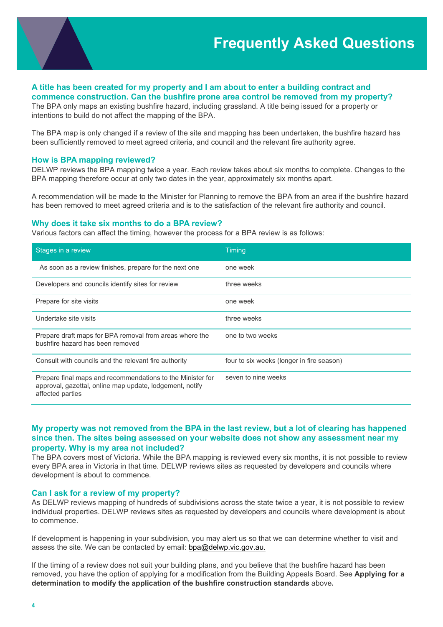

## **A title has been created for my property and I am about to enter a building contract and commence construction. Can the bushfire prone area control be removed from my property?**

The BPA only maps an existing bushfire hazard, including grassland. A title being issued for a property or intentions to build do not affect the mapping of the BPA.

The BPA map is only changed if a review of the site and mapping has been undertaken, the bushfire hazard has been sufficiently removed to meet agreed criteria, and council and the relevant fire authority agree.

#### **How is BPA mapping reviewed?**

DELWP reviews the BPA mapping twice a year. Each review takes about six months to complete. Changes to the BPA mapping therefore occur at only two dates in the year, approximately six months apart.

A recommendation will be made to the Minister for Planning to remove the BPA from an area if the bushfire hazard has been removed to meet agreed criteria and is to the satisfaction of the relevant fire authority and council.

#### **Why does it take six months to do a BPA review?**

Various factors can affect the timing, however the process for a BPA review is as follows:

| Stages in a review                                                                                                                         | <b>Timing</b>                             |
|--------------------------------------------------------------------------------------------------------------------------------------------|-------------------------------------------|
| As soon as a review finishes, prepare for the next one                                                                                     | one week                                  |
| Developers and councils identify sites for review                                                                                          | three weeks                               |
| Prepare for site visits                                                                                                                    | one week                                  |
| Undertake site visits                                                                                                                      | three weeks                               |
| Prepare draft maps for BPA removal from areas where the<br>bushfire hazard has been removed                                                | one to two weeks                          |
| Consult with councils and the relevant fire authority                                                                                      | four to six weeks (longer in fire season) |
| Prepare final maps and recommendations to the Minister for<br>approval, gazettal, online map update, lodgement, notify<br>affected parties | seven to nine weeks                       |

## **My property was not removed from the BPA in the last review, but a lot of clearing has happened since then. The sites being assessed on your website does not show any assessment near my property. Why is my area not included?**

The BPA covers most of Victoria. While the BPA mapping is reviewed every six months, it is not possible to review every BPA area in Victoria in that time. DELWP reviews sites as requested by developers and councils where development is about to commence.

### **Can I ask for a review of my property?**

As DELWP reviews mapping of hundreds of subdivisions across the state twice a year, it is not possible to review individual properties. DELWP reviews sites as requested by developers and councils where development is about to commence.

If development is happening in your subdivision, you may alert us so that we can determine whether to visit and assess the site. We can be contacted by email:  $bpa@delwp.vic.gov.au$ .

If the timing of a review does not suit your building plans, and you believe that the bushfire hazard has been removed, you have the option of applying for a modification from the Building Appeals Board. See **Applying for a determination to modify the application of the bushfire construction standards** above**.**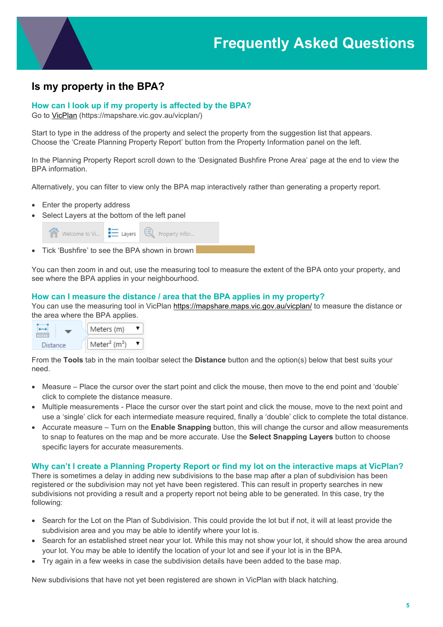# **Is my property in the BPA?**

## **How can I look up if my property is affected by the BPA?**

Go to [VicPlan](https://mapshare.vic.gov.au/vicplan/) (https://mapshare.vic.gov.au/vicplan/)

Start to type in the address of the property and select the property from the suggestion list that appears. Choose the 'Create Planning Property Report' button from the Property Information panel on the left.

In the Planning Property Report scroll down to the 'Designated Bushfire Prone Area' page at the end to view the BPA information.

Alternatively, you can filter to view only the BPA map interactively rather than generating a property report.

- Enter the property address
- Select Layers at the bottom of the left panel

| Welcome to Vi $\blacksquare$ Layers $\blacksquare$ Property Infor |  |
|-------------------------------------------------------------------|--|
| Tick 'Bushfire' to see the BPA shown in brown                     |  |

You can then zoom in and out, use the measuring tool to measure the extent of the BPA onto your property, and see where the BPA applies in your neighbourhood.

#### **How can I measure the distance / area that the BPA applies in my property?**

You can use the measuring tool in VicPlan<https://mapshare.maps.vic.gov.au/vicplan/> to measure the distance or the area where the BPA applies.



From the **Tools** tab in the main toolbar select the **Distance** button and the option(s) below that best suits your need.

- Measure Place the cursor over the start point and click the mouse, then move to the end point and 'double' click to complete the distance measure.
- Multiple measurements Place the cursor over the start point and click the mouse, move to the next point and use a 'single' click for each intermediate measure required, finally a 'double' click to complete the total distance.
- Accurate measure Turn on the **Enable Snapping** button, this will change the cursor and allow measurements to snap to features on the map and be more accurate. Use the **Select Snapping Layers** button to choose specific layers for accurate measurements.

### **Why can't I create a Planning Property Report or find my lot on the interactive maps at VicPlan?**

There is sometimes a delay in adding new subdivisions to the base map after a plan of subdivision has been registered or the subdivision may not yet have been registered. This can result in property searches in new subdivisions not providing a result and a property report not being able to be generated. In this case, try the following:

- Search for the Lot on the Plan of Subdivision. This could provide the lot but if not, it will at least provide the subdivision area and you may be able to identify where your lot is.
- Search for an established street near your lot. While this may not show your lot, it should show the area around your lot. You may be able to identify the location of your lot and see if your lot is in the BPA.
- Try again in a few weeks in case the subdivision details have been added to the base map.

New subdivisions that have not yet been registered are shown in VicPlan with black hatching.